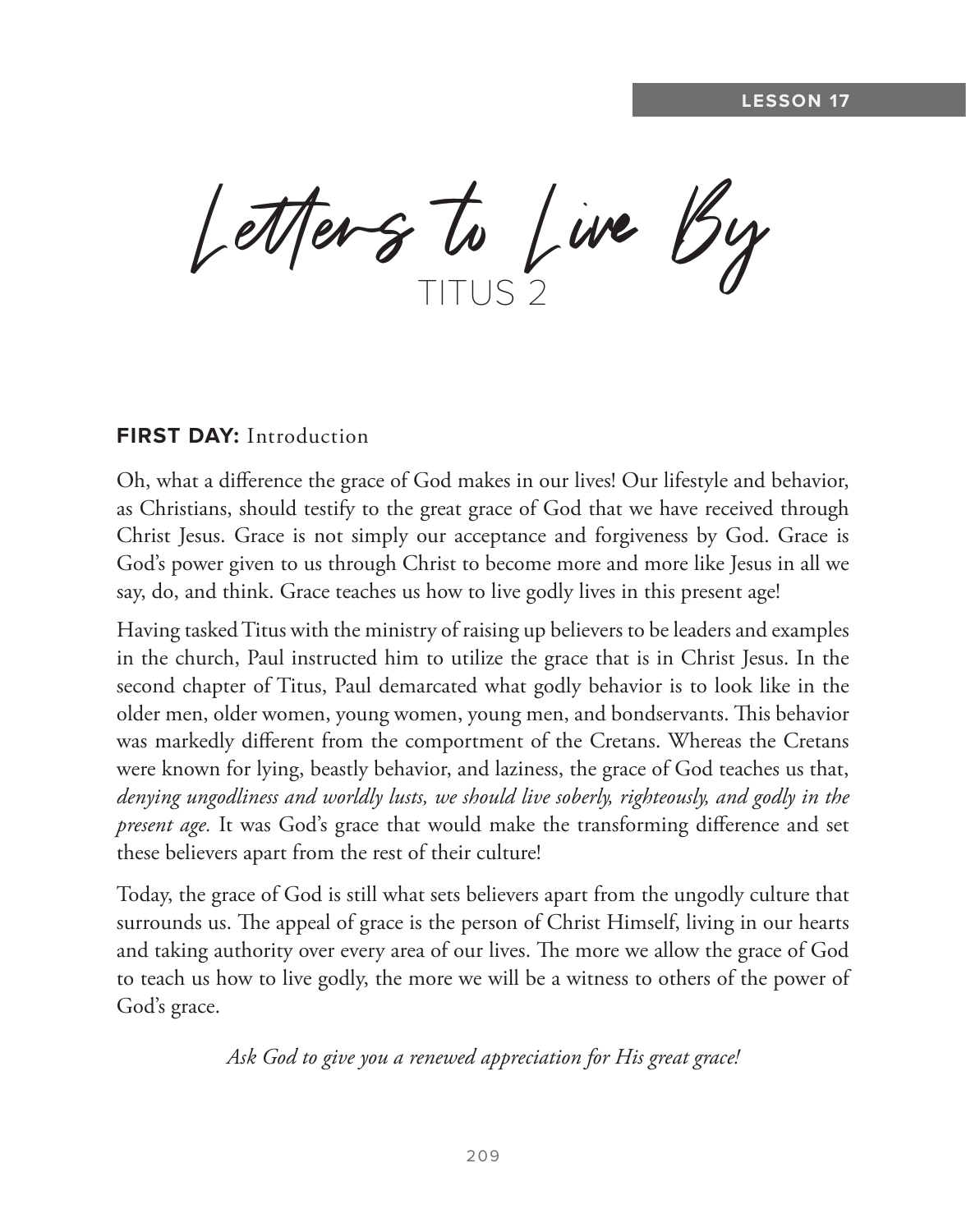Letters to Live By

## **FIRST DAY: Introduction**

Oh, what a difference the grace of God makes in our lives! Our lifestyle and behavior, as Christians, should testify to the great grace of God that we have received through Christ Jesus. Grace is not simply our acceptance and forgiveness by God. Grace is God's power given to us through Christ to become more and more like Jesus in all we say, do, and think. Grace teaches us how to live godly lives in this present age!

Having tasked Titus with the ministry of raising up believers to be leaders and examples in the church, Paul instructed him to utilize the grace that is in Christ Jesus. In the second chapter of Titus, Paul demarcated what godly behavior is to look like in the older men, older women, young women, young men, and bondservants. This behavior was markedly different from the comportment of the Cretans. Whereas the Cretans were known for lying, beastly behavior, and laziness, the grace of God teaches us that, *denying ungodliness and worldly lusts, we should live soberly, righteously, and godly in the present age.* It was God's grace that would make the transforming difference and set these believers apart from the rest of their culture!

Today, the grace of God is still what sets believers apart from the ungodly culture that surrounds us. The appeal of grace is the person of Christ Himself, living in our hearts and taking authority over every area of our lives. The more we allow the grace of God to teach us how to live godly, the more we will be a witness to others of the power of God's grace.

*Ask God to give you a renewed appreciation for His great grace!*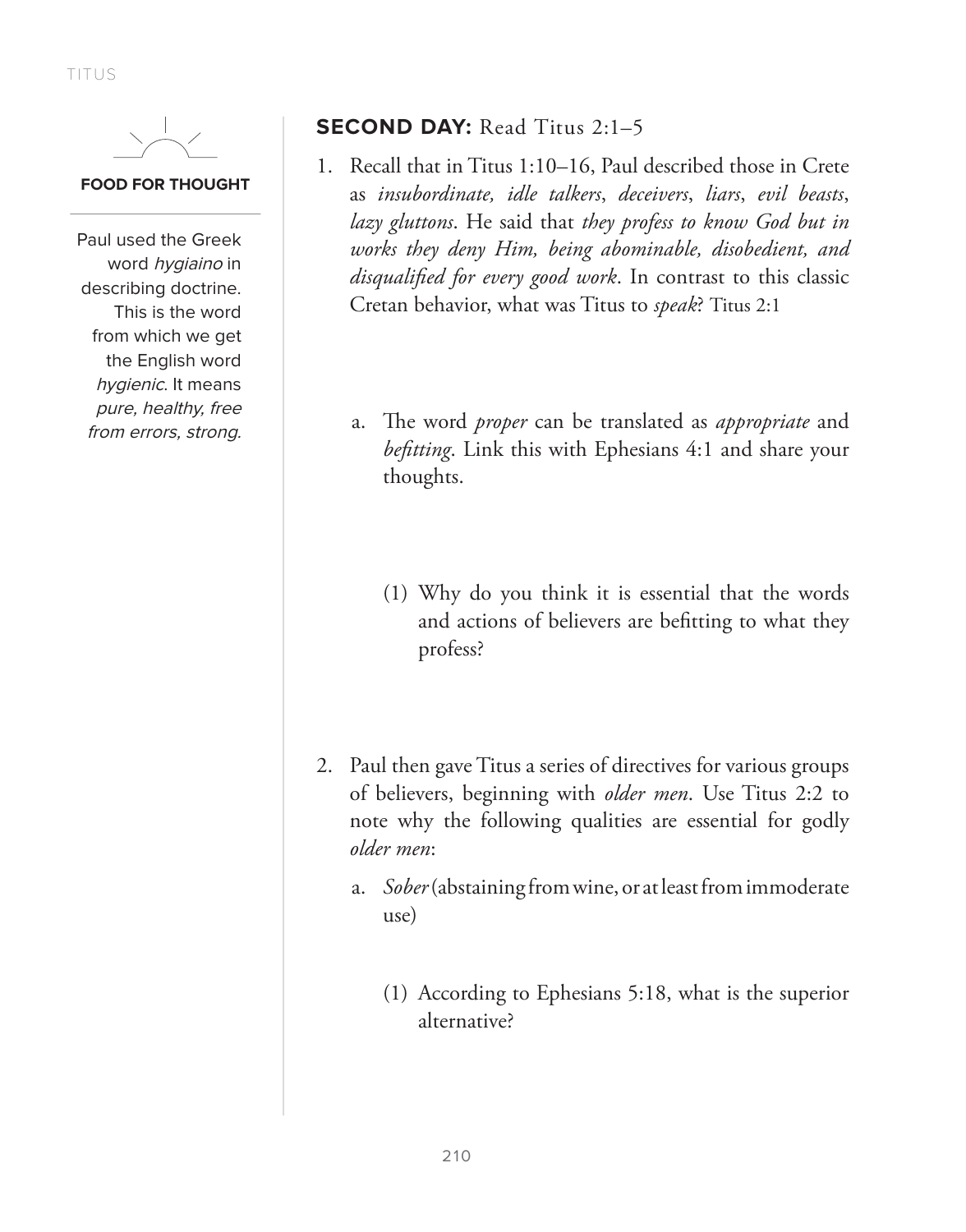TITUS

#### **FOOD FOR THOUGHT**

Paul used the Greek word *hygiaino* in describing doctrine. This is the word from which we get the English word hygienic. It means pure, healthy, free from errors, strong.

## **SECOND DAY:** Read Titus 2:1–5

- 1. Recall that in Titus 1:10–16, Paul described those in Crete as *insubordinate, idle talkers*, *deceivers*, *liars*, *evil beasts*, *lazy gluttons*. He said that *they profess to know God but in works they deny Him, being abominable, disobedient, and disqualified for every good work*. In contrast to this classic Cretan behavior, what was Titus to *speak*? Titus 2:1
	- a. The word *proper* can be translated as *appropriate* and *befitting*. Link this with Ephesians 4:1 and share your thoughts.
		- (1) Why do you think it is essential that the words and actions of believers are befitting to what they profess?
- 2. Paul then gave Titus a series of directives for various groups of believers, beginning with *older men*. Use Titus 2:2 to note why the following qualities are essential for godly *older men*:
	- a. *Sober* (abstaining from wine, or at least from immoderate use)
		- (1) According to Ephesians 5:18, what is the superior alternative?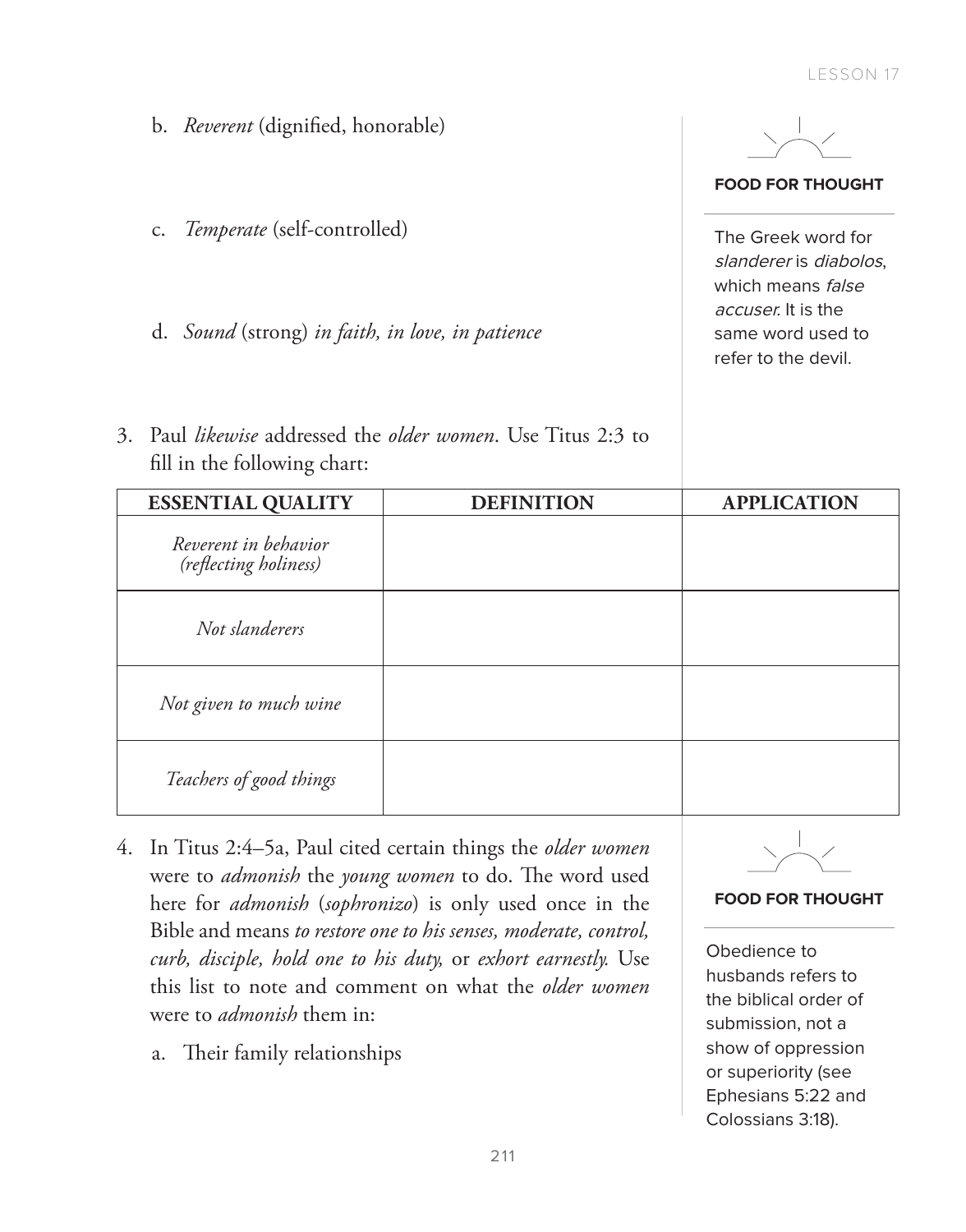**FOOD FOR THOUGHT**

The Greek word for slanderer is diabolos, which means *false* accuser. It is the same word used to refer to the devil.

- b. *Reverent* (dignified, honorable)
- c. *Temperate* (self-controlled)
- d. *Sound* (strong) *in faith, in love, in patience*
- 3. Paul *likewise* addressed the *older women*. Use Titus 2:3 to fill in the following chart:

| <b>ESSENTIAL QUALITY</b>                      | <b>DEFINITION</b> | <b>APPLICATION</b> |
|-----------------------------------------------|-------------------|--------------------|
| Reverent in behavior<br>(reflecting holiness) |                   |                    |
| Not slanderers                                |                   |                    |
| Not given to much wine                        |                   |                    |
| Teachers of good things                       |                   |                    |

- 4. In Titus 2:4–5a, Paul cited certain things the *older women* were to *admonish* the *young women* to do. The word used here for *admonish* (*sophronizo*) is only used once in the Bible and means *to restore one to his senses, moderate, control, curb, disciple, hold one to his duty,* or *exhort earnestly.* Use this list to note and comment on what the *older women* were to *admonish* them in:
	- a. Their family relationships



#### **FOOD FOR THOUGHT**

Obedience to husbands refers to the biblical order of submission, not a show of oppression or superiority (see Ephesians 5:22 and Colossians 3:18).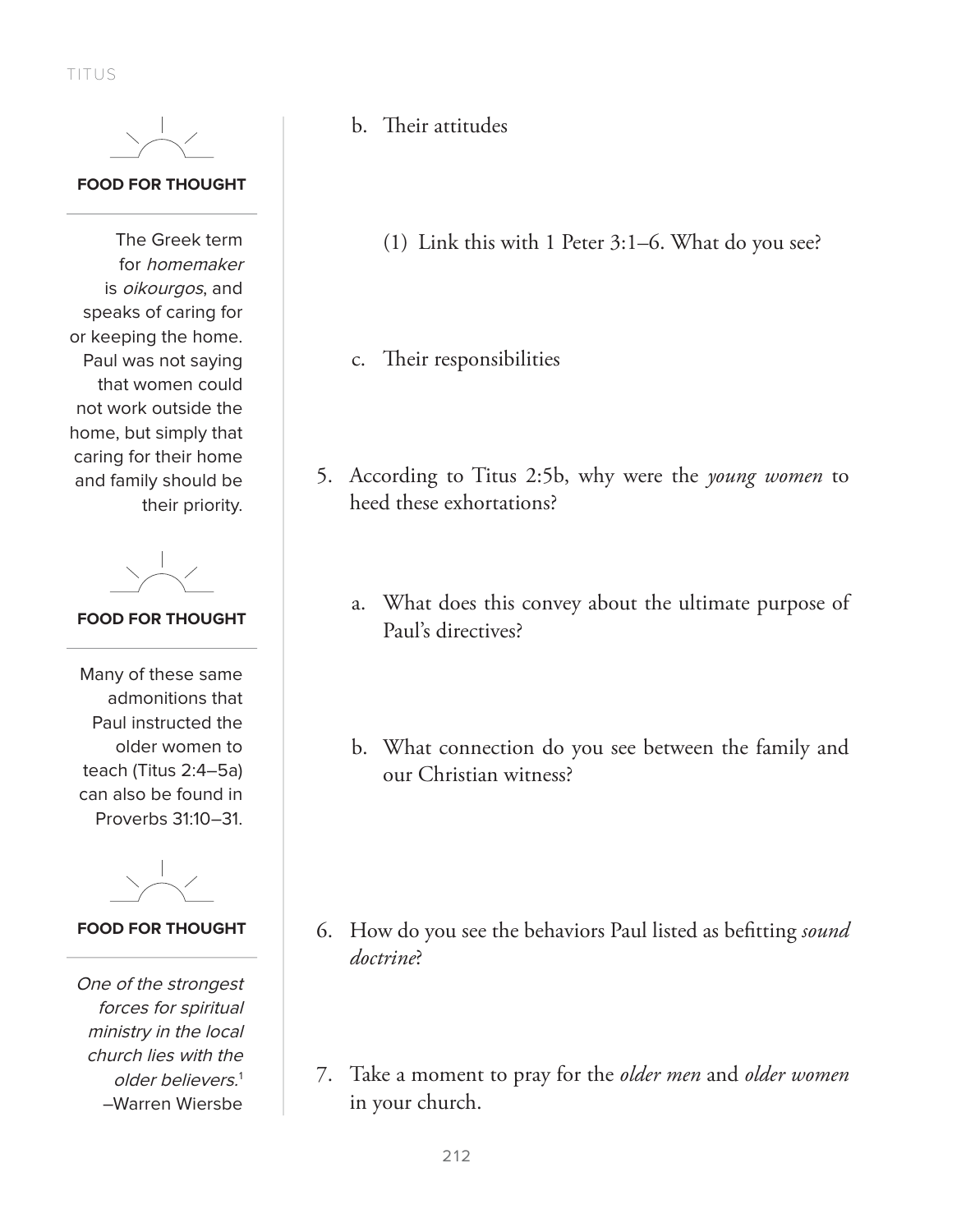TITUS



#### **FOOD FOR THOUGHT**

The Greek term for homemaker is oikourgos, and speaks of caring for or keeping the home. Paul was not saying that women could not work outside the home, but simply that caring for their home and family should be their priority.

## **FOOD FOR THOUGHT**

Many of these same admonitions that Paul instructed the older women to teach (Titus 2:4–5a) can also be found in Proverbs 31:10–31.

**FOOD FOR THOUGHT**

One of the strongest forces for spiritual ministry in the local church lies with the older believers.1 –Warren Wiersbe

- b. Their attitudes
	- (1) Link this with 1 Peter 3:1–6. What do you see?
- c. Their responsibilities
- 5. According to Titus 2:5b, why were the *young women* to heed these exhortations?
	- a. What does this convey about the ultimate purpose of Paul's directives?
	- b. What connection do you see between the family and our Christian witness?

- 6. How do you see the behaviors Paul listed as befitting *sound doctrine*?
- 7. Take a moment to pray for the *older men* and *older women* in your church.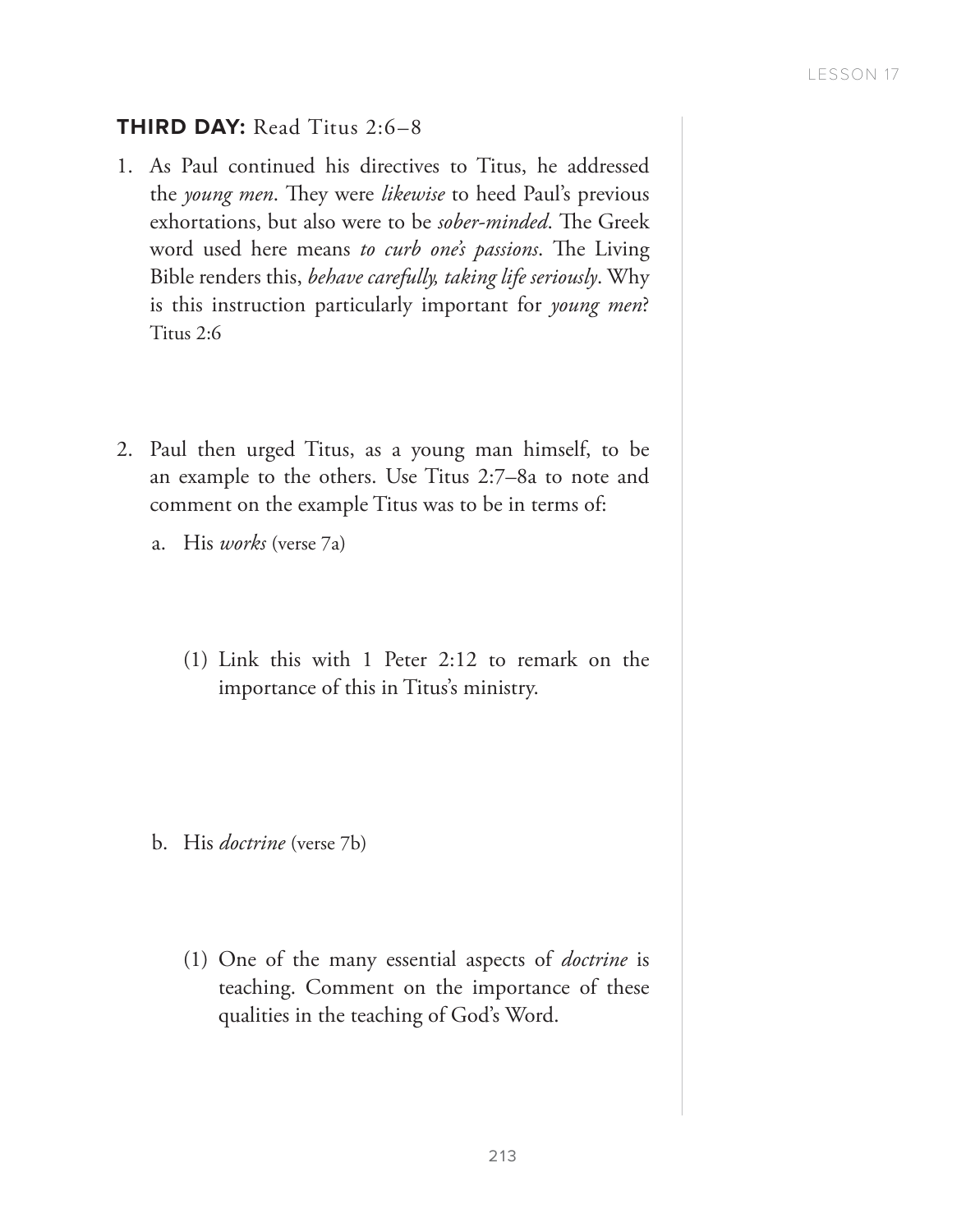## **THIRD DAY: Read Titus 2:6-8**

- 1. As Paul continued his directives to Titus, he addressed the *young men*. They were *likewise* to heed Paul's previous exhortations, but also were to be *sober-minded*. The Greek word used here means *to curb one's passions*. The Living Bible renders this, *behave carefully, taking life seriously*. Why is this instruction particularly important for *young men*? Titus 2:6
- 2. Paul then urged Titus, as a young man himself, to be an example to the others. Use Titus 2:7–8a to note and comment on the example Titus was to be in terms of:
	- a. His *works* (verse 7a)
		- (1) Link this with 1 Peter 2:12 to remark on the importance of this in Titus's ministry.

- b. His *doctrine* (verse 7b)
	- (1) One of the many essential aspects of *doctrine* is teaching. Comment on the importance of these qualities in the teaching of God's Word.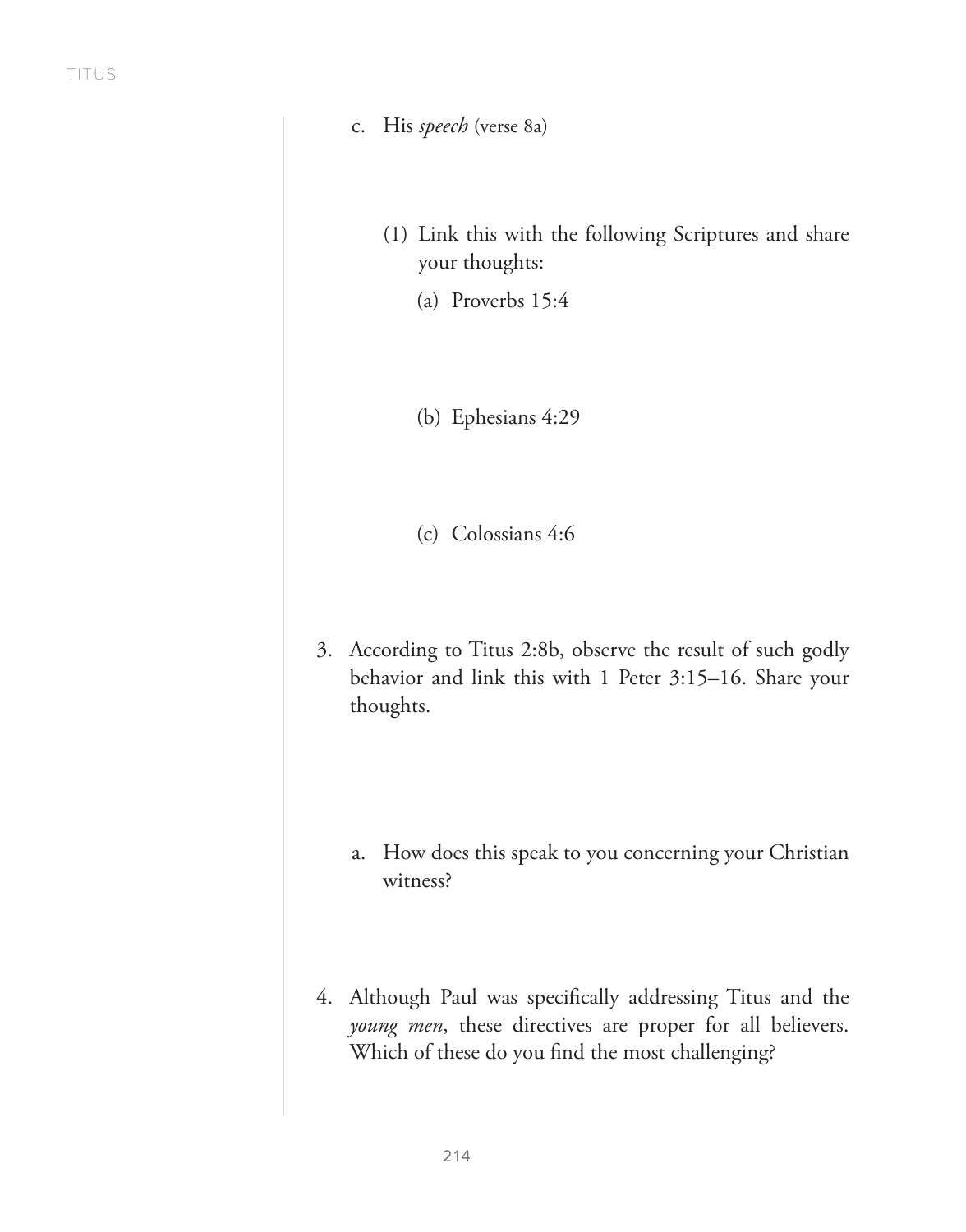- c. His *speech* (verse 8a)
	- (1) Link this with the following Scriptures and share your thoughts:
		- (a) Proverbs 15:4

(b) Ephesians 4:29

(c) Colossians 4:6

- 3. According to Titus 2:8b, observe the result of such godly behavior and link this with 1 Peter 3:15–16. Share your thoughts.
	- a. How does this speak to you concerning your Christian witness?
- 4. Although Paul was specifically addressing Titus and the *young men*, these directives are proper for all believers. Which of these do you find the most challenging?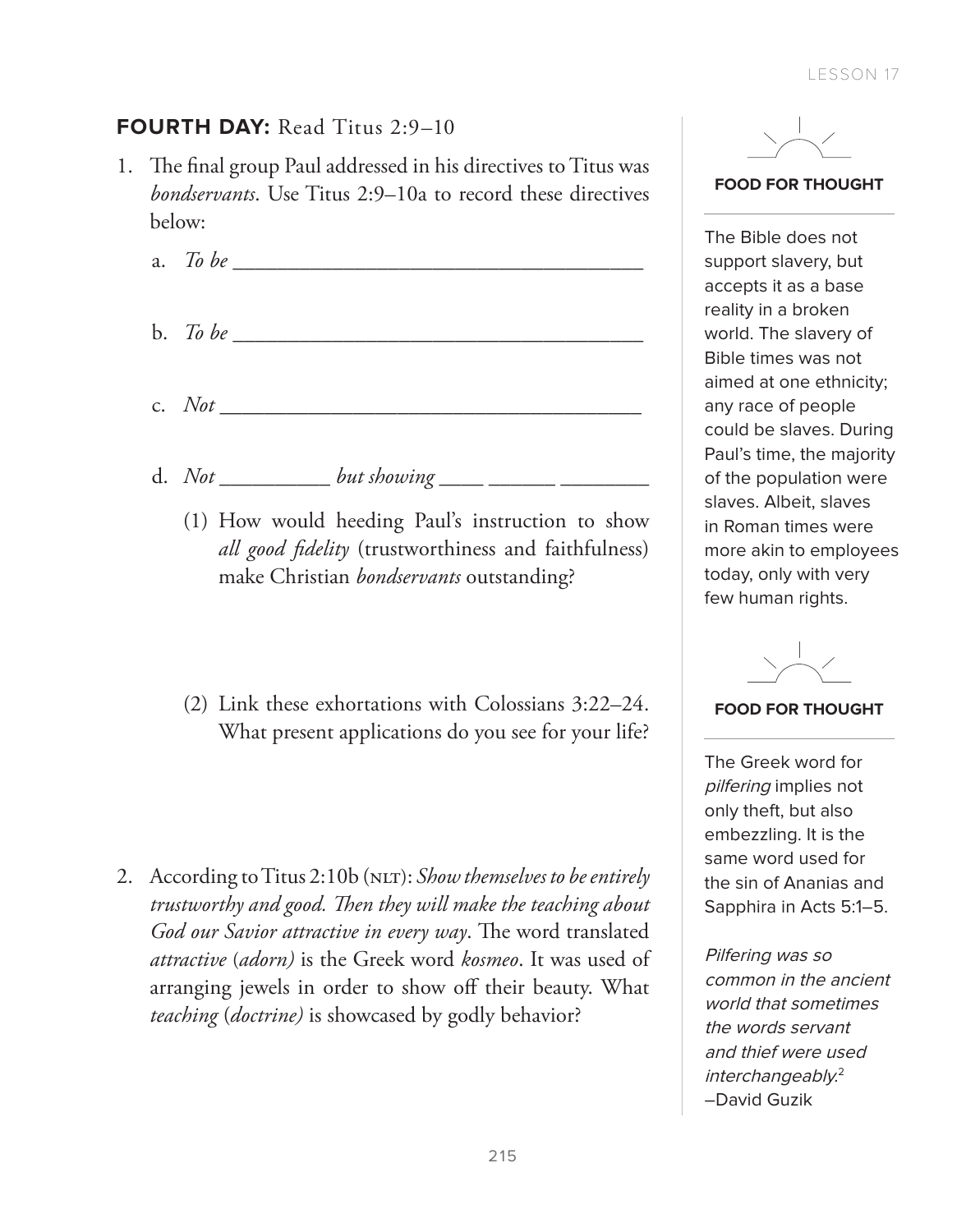# **FOURTH DAY:** Read Titus 2:9–10

- 1. The final group Paul addressed in his directives to Titus was *bondservants*. Use Titus 2:9–10a to record these directives below:
	- a. *To be \_\_\_\_\_\_\_\_\_\_\_\_\_\_\_\_\_\_\_\_\_\_\_\_\_\_\_\_\_\_\_\_\_\_\_\_\_*
	- b. *To be \_\_\_\_\_\_\_\_\_\_\_\_\_\_\_\_\_\_\_\_\_\_\_\_\_\_\_\_\_\_\_\_\_\_\_\_\_*
	- c. *Not \_\_\_\_\_\_\_\_\_\_\_\_\_\_\_\_\_\_\_\_\_\_\_\_\_\_\_\_\_\_\_\_\_\_\_\_\_\_*
	- d. *Not \_\_\_\_\_\_\_\_\_\_ but showing \_\_\_\_ \_\_\_\_\_\_ \_\_\_\_\_\_\_\_*
		- (1) How would heeding Paul's instruction to show *all good fidelity* (trustworthiness and faithfulness) make Christian *bondservants* outstanding?
		- (2) Link these exhortations with Colossians 3:22–24. What present applications do you see for your life?
- 2. According to Titus 2:10b (NLT): *Show themselves to be entirely trustworthy and good. Then they will make the teaching about God our Savior attractive in every way*. The word translated *attractive* (*adorn)* is the Greek word *kosmeo*. It was used of arranging jewels in order to show off their beauty. What *teaching* (*doctrine)* is showcased by godly behavior?



**FOOD FOR THOUGHT**

The Bible does not support slavery, but accepts it as a base reality in a broken world. The slavery of Bible times was not aimed at one ethnicity; any race of people could be slaves. During Paul's time, the majority of the population were slaves. Albeit, slaves in Roman times were more akin to employees today, only with very few human rights.

#### **FOOD FOR THOUGHT**

The Greek word for pilfering implies not only theft, but also embezzling. It is the same word used for the sin of Ananias and Sapphira in Acts 5:1–5.

Pilfering was so common in the ancient world that sometimes the words servant and thief were used interchangeably.<sup>2</sup> –David Guzik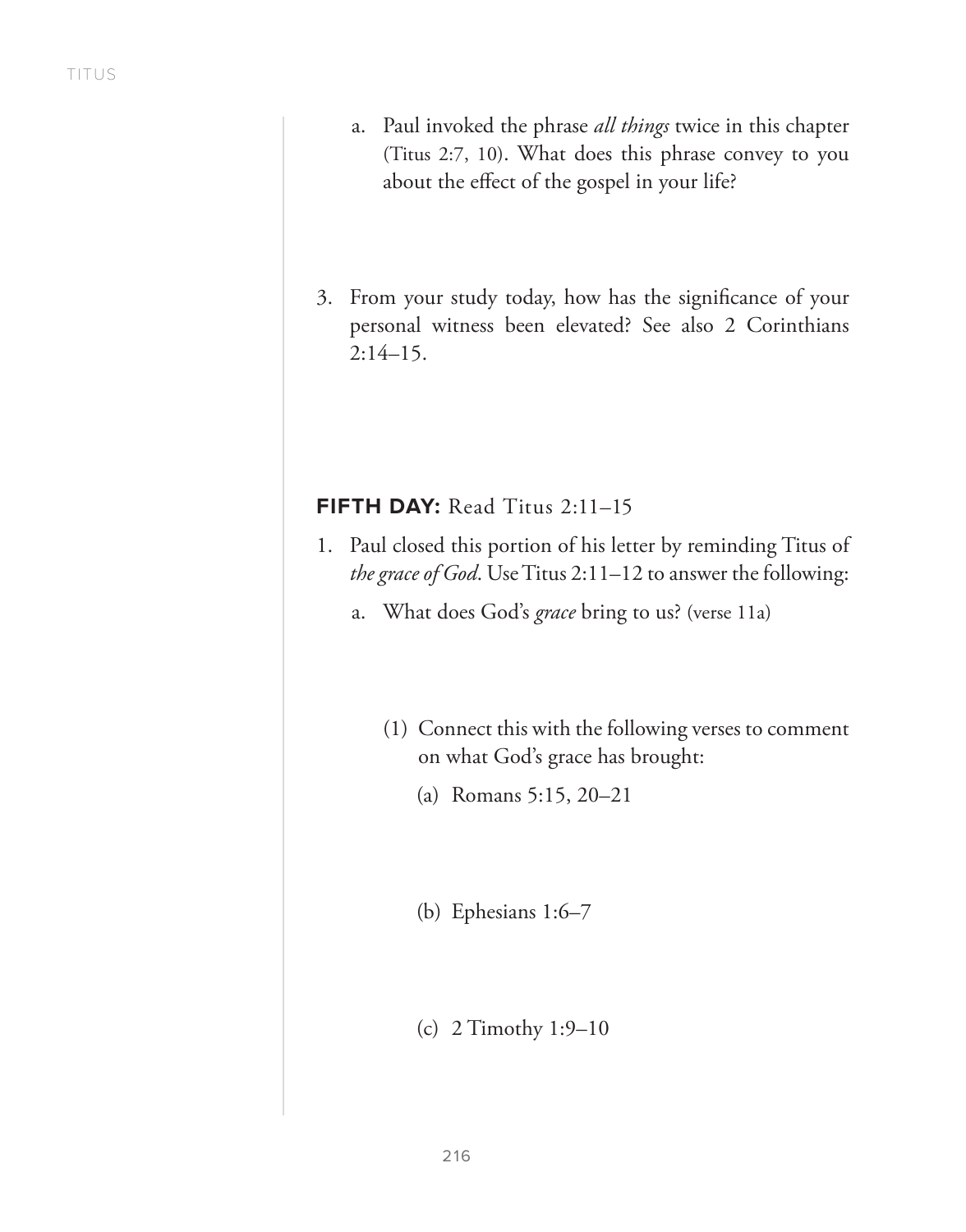- a. Paul invoked the phrase *all things* twice in this chapter (Titus 2:7, 10). What does this phrase convey to you about the effect of the gospel in your life?
- 3. From your study today, how has the significance of your personal witness been elevated? See also 2 Corinthians 2:14–15.

# **FIFTH DAY:** Read Titus 2:11–15

- 1. Paul closed this portion of his letter by reminding Titus of *the grace of God*. Use Titus 2:11–12 to answer the following:
	- a. What does God's *grace* bring to us? (verse 11a)
		- (1) Connect this with the following verses to comment on what God's grace has brought:
			- (a) Romans 5:15, 20–21
			- (b) Ephesians 1:6–7
			- (c) 2 Timothy 1:9–10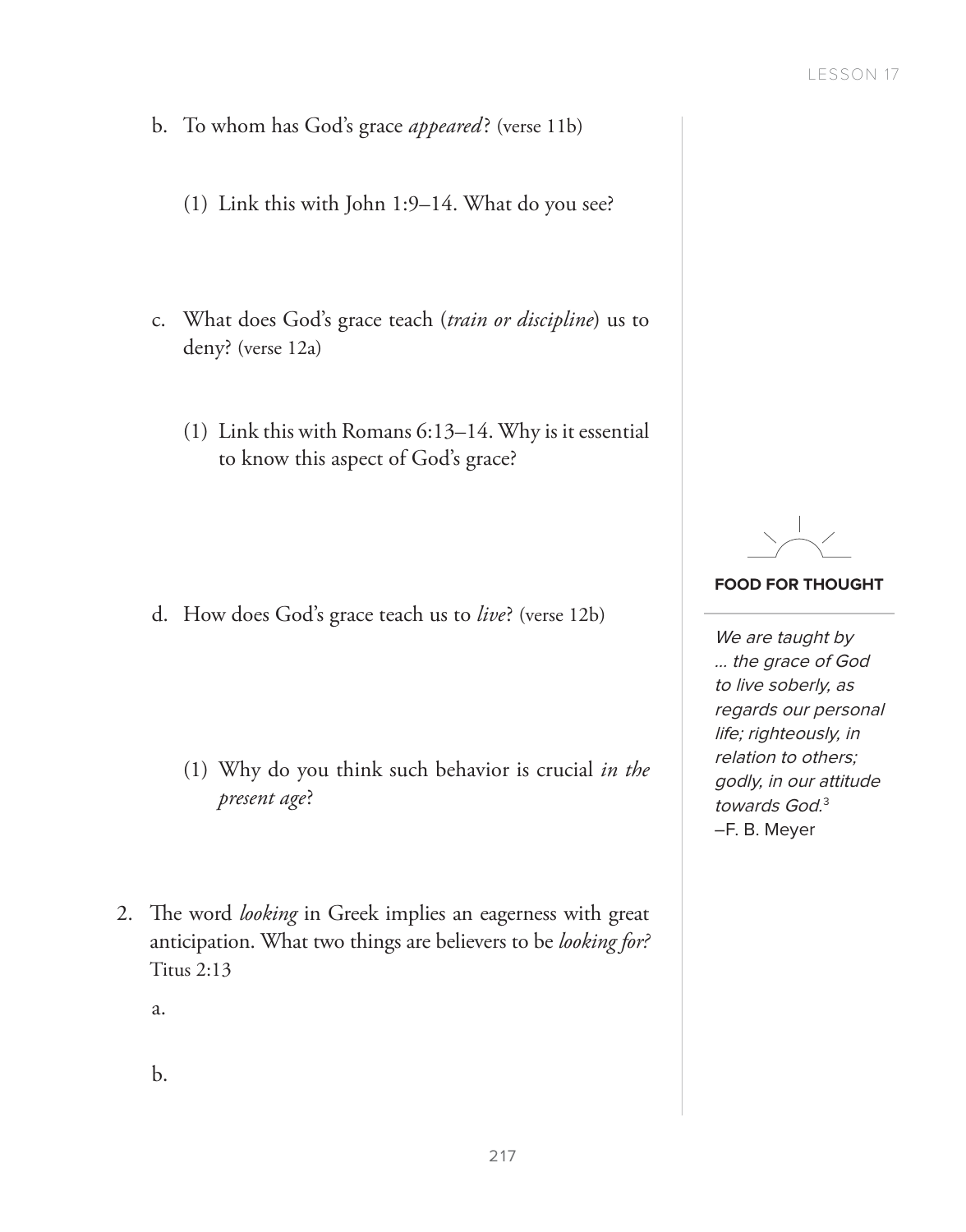- b. To whom has God's grace *appeared* ? (verse 11b)
	- (1) Link this with John 1:9–14. What do you see?
- c. What does God's grace teach (*train or discipline*) us to deny? (verse 12a)
	- (1) Link this with Romans 6:13–14. Why is it essential to know this aspect of God's grace?

d. How does God's grace teach us to *live*? (verse 12b)

- (1) Why do you think such behavior is crucial *in the present age*?
- 2. The word *looking* in Greek implies an eagerness with great anticipation. What two things are believers to be *looking for?*  Titus 2:13

a.

b.

## **FOOD FOR THOUGHT**

We are taught by … the grace of God to live soberly, as regards our personal life; righteously, in relation to others; godly, in our attitude towards God.<sup>3</sup> –F. B. Meyer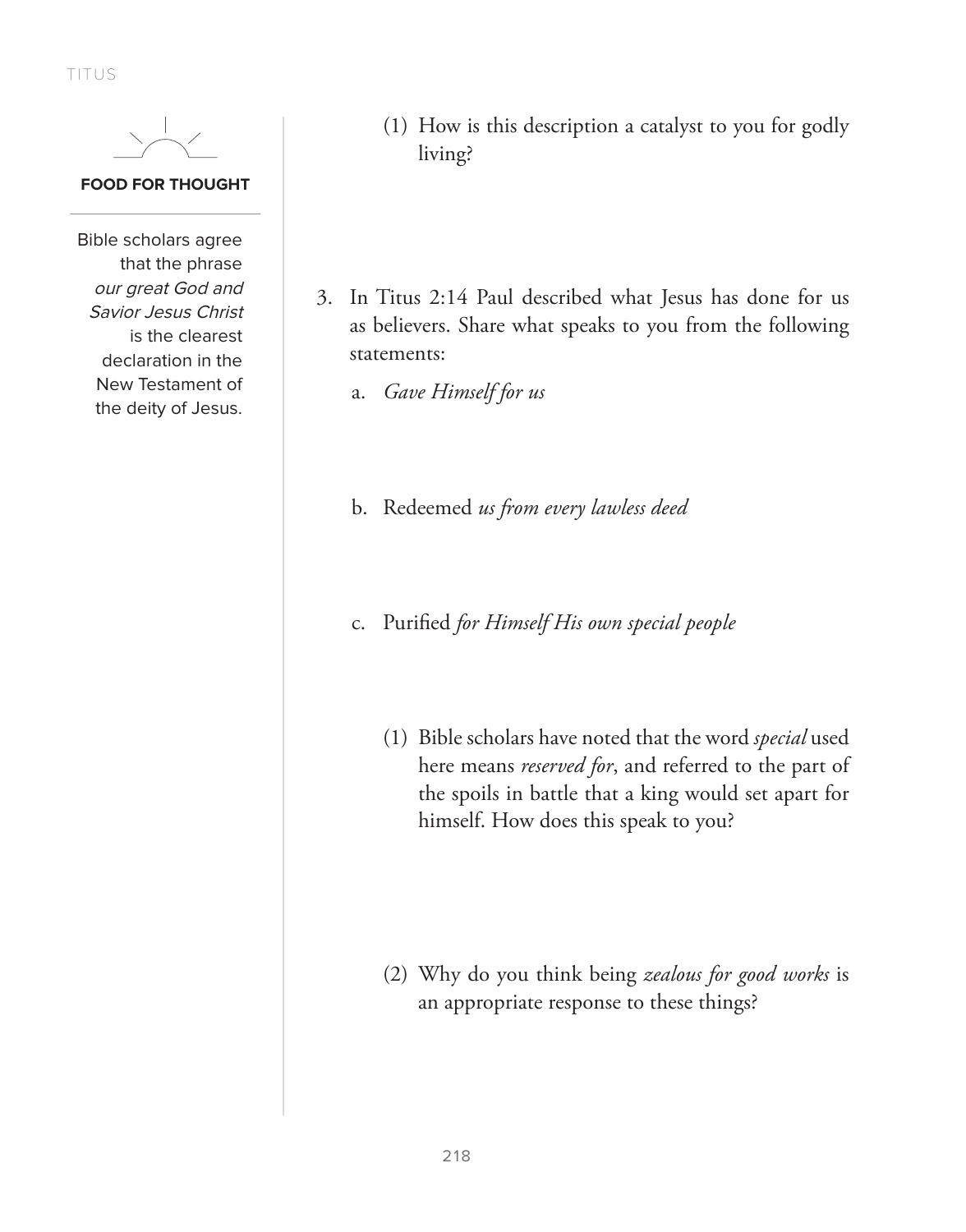TITUS



## **FOOD FOR THOUGHT**

Bible scholars agree that the phrase our great God and Savior Jesus Christ is the clearest declaration in the New Testament of the deity of Jesus.

- (1) How is this description a catalyst to you for godly living?
- 3. In Titus 2:14 Paul described what Jesus has done for us as believers. Share what speaks to you from the following statements:
	- a. *Gave Himself for us*
	- b. Redeemed *us from every lawless deed*
	- c. Purified *for Himself His own special people*
		- (1) Bible scholars have noted that the word *special* used here means *reserved for*, and referred to the part of the spoils in battle that a king would set apart for himself. How does this speak to you?

(2) Why do you think being *zealous for good works* is an appropriate response to these things?